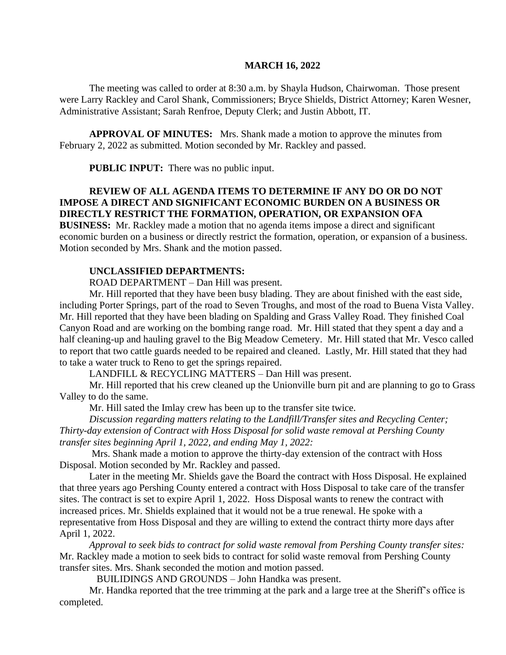#### **MARCH 16, 2022**

The meeting was called to order at 8:30 a.m. by Shayla Hudson, Chairwoman. Those present were Larry Rackley and Carol Shank, Commissioners; Bryce Shields, District Attorney; Karen Wesner, Administrative Assistant; Sarah Renfroe, Deputy Clerk; and Justin Abbott, IT.

**APPROVAL OF MINUTES:** Mrs. Shank made a motion to approve the minutes from February 2, 2022 as submitted. Motion seconded by Mr. Rackley and passed.

**PUBLIC INPUT:** There was no public input.

# **REVIEW OF ALL AGENDA ITEMS TO DETERMINE IF ANY DO OR DO NOT IMPOSE A DIRECT AND SIGNIFICANT ECONOMIC BURDEN ON A BUSINESS OR DIRECTLY RESTRICT THE FORMATION, OPERATION, OR EXPANSION OFA**

**BUSINESS:** Mr. Rackley made a motion that no agenda items impose a direct and significant economic burden on a business or directly restrict the formation, operation, or expansion of a business. Motion seconded by Mrs. Shank and the motion passed.

### **UNCLASSIFIED DEPARTMENTS:**

ROAD DEPARTMENT – Dan Hill was present.

Mr. Hill reported that they have been busy blading. They are about finished with the east side, including Porter Springs, part of the road to Seven Troughs, and most of the road to Buena Vista Valley. Mr. Hill reported that they have been blading on Spalding and Grass Valley Road. They finished Coal Canyon Road and are working on the bombing range road. Mr. Hill stated that they spent a day and a half cleaning-up and hauling gravel to the Big Meadow Cemetery. Mr. Hill stated that Mr. Vesco called to report that two cattle guards needed to be repaired and cleaned. Lastly, Mr. Hill stated that they had to take a water truck to Reno to get the springs repaired.

LANDFILL & RECYCLING MATTERS – Dan Hill was present.

Mr. Hill reported that his crew cleaned up the Unionville burn pit and are planning to go to Grass Valley to do the same.

Mr. Hill sated the Imlay crew has been up to the transfer site twice.

*Discussion regarding matters relating to the Landfill/Transfer sites and Recycling Center; Thirty-day extension of Contract with Hoss Disposal for solid waste removal at Pershing County transfer sites beginning April 1, 2022, and ending May 1, 2022:* 

Mrs. Shank made a motion to approve the thirty-day extension of the contract with Hoss Disposal. Motion seconded by Mr. Rackley and passed.

Later in the meeting Mr. Shields gave the Board the contract with Hoss Disposal. He explained that three years ago Pershing County entered a contract with Hoss Disposal to take care of the transfer sites. The contract is set to expire April 1, 2022. Hoss Disposal wants to renew the contract with increased prices. Mr. Shields explained that it would not be a true renewal. He spoke with a representative from Hoss Disposal and they are willing to extend the contract thirty more days after April 1, 2022.

*Approval to seek bids to contract for solid waste removal from Pershing County transfer sites:*  Mr. Rackley made a motion to seek bids to contract for solid waste removal from Pershing County transfer sites. Mrs. Shank seconded the motion and motion passed.

BUILIDINGS AND GROUNDS – John Handka was present.

Mr. Handka reported that the tree trimming at the park and a large tree at the Sheriff's office is completed.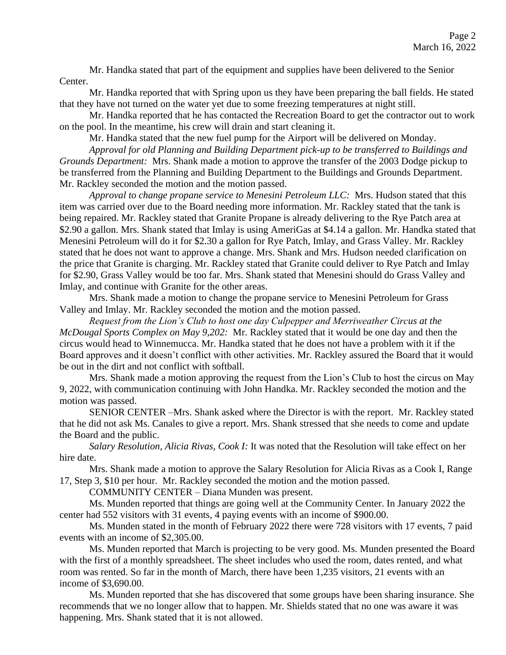Mr. Handka stated that part of the equipment and supplies have been delivered to the Senior Center.

Mr. Handka reported that with Spring upon us they have been preparing the ball fields. He stated that they have not turned on the water yet due to some freezing temperatures at night still.

Mr. Handka reported that he has contacted the Recreation Board to get the contractor out to work on the pool. In the meantime, his crew will drain and start cleaning it.

Mr. Handka stated that the new fuel pump for the Airport will be delivered on Monday.

*Approval for old Planning and Building Department pick-up to be transferred to Buildings and Grounds Department:* Mrs. Shank made a motion to approve the transfer of the 2003 Dodge pickup to be transferred from the Planning and Building Department to the Buildings and Grounds Department. Mr. Rackley seconded the motion and the motion passed.

*Approval to change propane service to Menesini Petroleum LLC:* Mrs. Hudson stated that this item was carried over due to the Board needing more information. Mr. Rackley stated that the tank is being repaired. Mr. Rackley stated that Granite Propane is already delivering to the Rye Patch area at \$2.90 a gallon. Mrs. Shank stated that Imlay is using AmeriGas at \$4.14 a gallon. Mr. Handka stated that Menesini Petroleum will do it for \$2.30 a gallon for Rye Patch, Imlay, and Grass Valley. Mr. Rackley stated that he does not want to approve a change. Mrs. Shank and Mrs. Hudson needed clarification on the price that Granite is charging. Mr. Rackley stated that Granite could deliver to Rye Patch and Imlay for \$2.90, Grass Valley would be too far. Mrs. Shank stated that Menesini should do Grass Valley and Imlay, and continue with Granite for the other areas.

Mrs. Shank made a motion to change the propane service to Menesini Petroleum for Grass Valley and Imlay. Mr. Rackley seconded the motion and the motion passed.

*Request from the Lion's Club to host one day Culpepper and Merriweather Circus at the McDougal Sports Complex on May 9,202:* Mr. Rackley stated that it would be one day and then the circus would head to Winnemucca. Mr. Handka stated that he does not have a problem with it if the Board approves and it doesn't conflict with other activities. Mr. Rackley assured the Board that it would be out in the dirt and not conflict with softball.

Mrs. Shank made a motion approving the request from the Lion's Club to host the circus on May 9, 2022, with communication continuing with John Handka. Mr. Rackley seconded the motion and the motion was passed.

SENIOR CENTER –Mrs. Shank asked where the Director is with the report. Mr. Rackley stated that he did not ask Ms. Canales to give a report. Mrs. Shank stressed that she needs to come and update the Board and the public.

*Salary Resolution, Alicia Rivas, Cook I:* It was noted that the Resolution will take effect on her hire date.

Mrs. Shank made a motion to approve the Salary Resolution for Alicia Rivas as a Cook I, Range 17, Step 3, \$10 per hour. Mr. Rackley seconded the motion and the motion passed.

COMMUNITY CENTER – Diana Munden was present.

Ms. Munden reported that things are going well at the Community Center. In January 2022 the center had 552 visitors with 31 events, 4 paying events with an income of \$900.00.

Ms. Munden stated in the month of February 2022 there were 728 visitors with 17 events, 7 paid events with an income of \$2,305.00.

Ms. Munden reported that March is projecting to be very good. Ms. Munden presented the Board with the first of a monthly spreadsheet. The sheet includes who used the room, dates rented, and what room was rented. So far in the month of March, there have been 1,235 visitors, 21 events with an income of \$3,690.00.

Ms. Munden reported that she has discovered that some groups have been sharing insurance. She recommends that we no longer allow that to happen. Mr. Shields stated that no one was aware it was happening. Mrs. Shank stated that it is not allowed.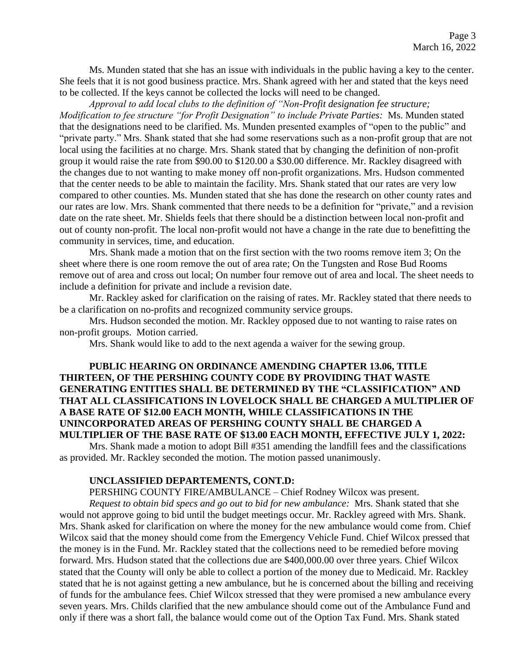Ms. Munden stated that she has an issue with individuals in the public having a key to the center. She feels that it is not good business practice. Mrs. Shank agreed with her and stated that the keys need to be collected. If the keys cannot be collected the locks will need to be changed.

*Approval to add local clubs to the definition of "Non-Profit designation fee structure; Modification to fee structure "for Profit Designation" to include Private Parties:* Ms. Munden stated that the designations need to be clarified. Ms. Munden presented examples of "open to the public" and "private party." Mrs. Shank stated that she had some reservations such as a non-profit group that are not local using the facilities at no charge. Mrs. Shank stated that by changing the definition of non-profit group it would raise the rate from \$90.00 to \$120.00 a \$30.00 difference. Mr. Rackley disagreed with the changes due to not wanting to make money off non-profit organizations. Mrs. Hudson commented that the center needs to be able to maintain the facility. Mrs. Shank stated that our rates are very low compared to other counties. Ms. Munden stated that she has done the research on other county rates and our rates are low. Mrs. Shank commented that there needs to be a definition for "private," and a revision date on the rate sheet. Mr. Shields feels that there should be a distinction between local non-profit and out of county non-profit. The local non-profit would not have a change in the rate due to benefitting the community in services, time, and education.

Mrs. Shank made a motion that on the first section with the two rooms remove item 3; On the sheet where there is one room remove the out of area rate; On the Tungsten and Rose Bud Rooms remove out of area and cross out local; On number four remove out of area and local. The sheet needs to include a definition for private and include a revision date.

Mr. Rackley asked for clarification on the raising of rates. Mr. Rackley stated that there needs to be a clarification on no-profits and recognized community service groups.

Mrs. Hudson seconded the motion. Mr. Rackley opposed due to not wanting to raise rates on non-profit groups. Motion carried.

Mrs. Shank would like to add to the next agenda a waiver for the sewing group.

# **PUBLIC HEARING ON ORDINANCE AMENDING CHAPTER 13.06, TITLE THIRTEEN, OF THE PERSHING COUNTY CODE BY PROVIDING THAT WASTE GENERATING ENTITIES SHALL BE DETERMINED BY THE "CLASSIFICATION" AND THAT ALL CLASSIFICATIONS IN LOVELOCK SHALL BE CHARGED A MULTIPLIER OF A BASE RATE OF \$12.00 EACH MONTH, WHILE CLASSIFICATIONS IN THE UNINCORPORATED AREAS OF PERSHING COUNTY SHALL BE CHARGED A MULTIPLIER OF THE BASE RATE OF \$13.00 EACH MONTH, EFFECTIVE JULY 1, 2022:**

Mrs. Shank made a motion to adopt Bill #351 amending the landfill fees and the classifications as provided. Mr. Rackley seconded the motion. The motion passed unanimously.

#### **UNCLASSIFIED DEPARTEMENTS, CONT.D:**

PERSHING COUNTY FIRE/AMBULANCE – Chief Rodney Wilcox was present.

*Request to obtain bid specs and go out to bid for new ambulance:* Mrs. Shank stated that she would not approve going to bid until the budget meetings occur. Mr. Rackley agreed with Mrs. Shank. Mrs. Shank asked for clarification on where the money for the new ambulance would come from. Chief Wilcox said that the money should come from the Emergency Vehicle Fund. Chief Wilcox pressed that the money is in the Fund. Mr. Rackley stated that the collections need to be remedied before moving forward. Mrs. Hudson stated that the collections due are \$400,000.00 over three years. Chief Wilcox stated that the County will only be able to collect a portion of the money due to Medicaid. Mr. Rackley stated that he is not against getting a new ambulance, but he is concerned about the billing and receiving of funds for the ambulance fees. Chief Wilcox stressed that they were promised a new ambulance every seven years. Mrs. Childs clarified that the new ambulance should come out of the Ambulance Fund and only if there was a short fall, the balance would come out of the Option Tax Fund. Mrs. Shank stated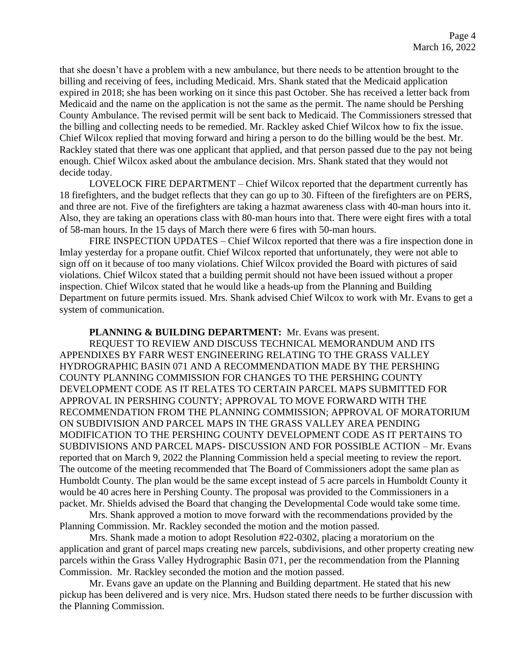that she doesn't have a problem with a new ambulance, but there needs to be attention brought to the billing and receiving of fees, including Medicaid. Mrs. Shank stated that the Medicaid application expired in 2018; she has been working on it since this past October. She has received a letter back from Medicaid and the name on the application is not the same as the permit. The name should be Pershing County Ambulance. The revised permit will be sent back to Medicaid. The Commissioners stressed that the billing and collecting needs to be remedied. Mr. Rackley asked Chief Wilcox how to fix the issue. Chief Wilcox replied that moving forward and hiring a person to do the billing would be the best. Mr. Rackley stated that there was one applicant that applied, and that person passed due to the pay not being enough. Chief Wilcox asked about the ambulance decision. Mrs. Shank stated that they would not decide today.

LOVELOCK FIRE DEPARTMENT – Chief Wilcox reported that the department currently has 18 firefighters, and the budget reflects that they can go up to 30. Fifteen of the firefighters are on PERS, and three are not. Five of the firefighters are taking a hazmat awareness class with 40-man hours into it. Also, they are taking an operations class with 80-man hours into that. There were eight fires with a total of 58-man hours. In the 15 days of March there were 6 fires with 50-man hours.

FIRE INSPECTION UPDATES – Chief Wilcox reported that there was a fire inspection done in Imlay yesterday for a propane outfit. Chief Wilcox reported that unfortunately, they were not able to sign off on it because of too many violations. Chief Wilcox provided the Board with pictures of said violations. Chief Wilcox stated that a building permit should not have been issued without a proper inspection. Chief Wilcox stated that he would like a heads-up from the Planning and Building Department on future permits issued. Mrs. Shank advised Chief Wilcox to work with Mr. Evans to get a system of communication.

### **PLANNING & BUILDING DEPARTMENT:** Mr. Evans was present.

REQUEST TO REVIEW AND DISCUSS TECHNICAL MEMORANDUM AND ITS APPENDIXES BY FARR WEST ENGINEERING RELATING TO THE GRASS VALLEY HYDROGRAPHIC BASIN 071 AND A RECOMMENDATION MADE BY THE PERSHING COUNTY PLANNING COMMISSION FOR CHANGES TO THE PERSHING COUNTY DEVELOPMENT CODE AS IT RELATES TO CERTAIN PARCEL MAPS SUBMITTED FOR APPROVAL IN PERSHING COUNTY; APPROVAL TO MOVE FORWARD WITH THE RECOMMENDATION FROM THE PLANNING COMMISSION; APPROVAL OF MORATORIUM ON SUBDIVISION AND PARCEL MAPS IN THE GRASS VALLEY AREA PENDING MODIFICATION TO THE PERSHING COUNTY DEVELOPMENT CODE AS IT PERTAINS TO SUBDIVISIONS AND PARCEL MAPS- DISCUSSION AND FOR POSSIBLE ACTION – Mr. Evans reported that on March 9, 2022 the Planning Commission held a special meeting to review the report. The outcome of the meeting recommended that The Board of Commissioners adopt the same plan as Humboldt County. The plan would be the same except instead of 5 acre parcels in Humboldt County it would be 40 acres here in Pershing County. The proposal was provided to the Commissioners in a packet. Mr. Shields advised the Board that changing the Developmental Code would take some time.

Mrs. Shank approved a motion to move forward with the recommendations provided by the Planning Commission. Mr. Rackley seconded the motion and the motion passed.

Mrs. Shank made a motion to adopt Resolution #22-0302, placing a moratorium on the application and grant of parcel maps creating new parcels, subdivisions, and other property creating new parcels within the Grass Valley Hydrographic Basin 071, per the recommendation from the Planning Commission. Mr. Rackley seconded the motion and the motion passed.

Mr. Evans gave an update on the Planning and Building department. He stated that his new pickup has been delivered and is very nice. Mrs. Hudson stated there needs to be further discussion with the Planning Commission.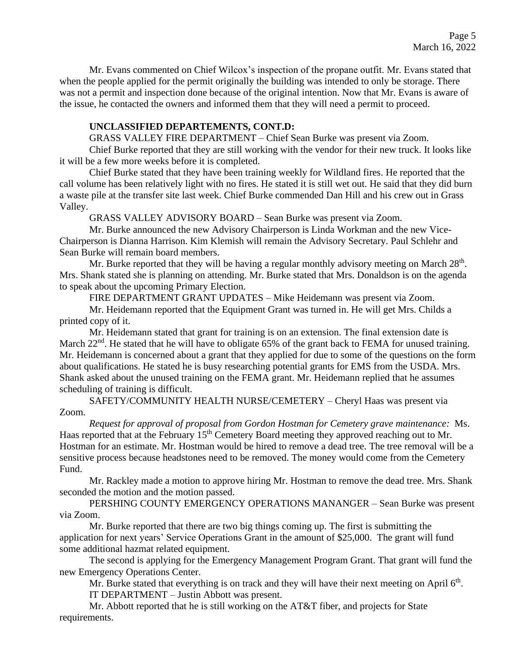Mr. Evans commented on Chief Wilcox's inspection of the propane outfit. Mr. Evans stated that when the people applied for the permit originally the building was intended to only be storage. There was not a permit and inspection done because of the original intention. Now that Mr. Evans is aware of the issue, he contacted the owners and informed them that they will need a permit to proceed.

## **UNCLASSIFIED DEPARTEMENTS, CONT.D:**

GRASS VALLEY FIRE DEPARTMENT – Chief Sean Burke was present via Zoom.

Chief Burke reported that they are still working with the vendor for their new truck. It looks like it will be a few more weeks before it is completed.

Chief Burke stated that they have been training weekly for Wildland fires. He reported that the call volume has been relatively light with no fires. He stated it is still wet out. He said that they did burn a waste pile at the transfer site last week. Chief Burke commended Dan Hill and his crew out in Grass Valley.

GRASS VALLEY ADVISORY BOARD – Sean Burke was present via Zoom.

Mr. Burke announced the new Advisory Chairperson is Linda Workman and the new Vice-Chairperson is Dianna Harrison. Kim Klemish will remain the Advisory Secretary. Paul Schlehr and Sean Burke will remain board members.

Mr. Burke reported that they will be having a regular monthly advisory meeting on March  $28<sup>th</sup>$ . Mrs. Shank stated she is planning on attending. Mr. Burke stated that Mrs. Donaldson is on the agenda to speak about the upcoming Primary Election.

FIRE DEPARTMENT GRANT UPDATES – Mike Heidemann was present via Zoom.

Mr. Heidemann reported that the Equipment Grant was turned in. He will get Mrs. Childs a printed copy of it.

Mr. Heidemann stated that grant for training is on an extension. The final extension date is March  $22<sup>nd</sup>$ . He stated that he will have to obligate 65% of the grant back to FEMA for unused training. Mr. Heidemann is concerned about a grant that they applied for due to some of the questions on the form about qualifications. He stated he is busy researching potential grants for EMS from the USDA. Mrs. Shank asked about the unused training on the FEMA grant. Mr. Heidemann replied that he assumes scheduling of training is difficult.

SAFETY/COMMUNITY HEALTH NURSE/CEMETERY – Cheryl Haas was present via Zoom.

*Request for approval of proposal from Gordon Hostman for Cemetery grave maintenance:* Ms. Haas reported that at the February 15<sup>th</sup> Cemetery Board meeting they approved reaching out to Mr. Hostman for an estimate. Mr. Hostman would be hired to remove a dead tree. The tree removal will be a sensitive process because headstones need to be removed. The money would come from the Cemetery Fund.

Mr. Rackley made a motion to approve hiring Mr. Hostman to remove the dead tree. Mrs. Shank seconded the motion and the motion passed.

PERSHING COUNTY EMERGENCY OPERATIONS MANANGER – Sean Burke was present via Zoom.

Mr. Burke reported that there are two big things coming up. The first is submitting the application for next years' Service Operations Grant in the amount of \$25,000. The grant will fund some additional hazmat related equipment.

The second is applying for the Emergency Management Program Grant. That grant will fund the new Emergency Operations Center.

Mr. Burke stated that everything is on track and they will have their next meeting on April  $6<sup>th</sup>$ . IT DEPARTMENT – Justin Abbott was present.

Mr. Abbott reported that he is still working on the AT&T fiber, and projects for State requirements.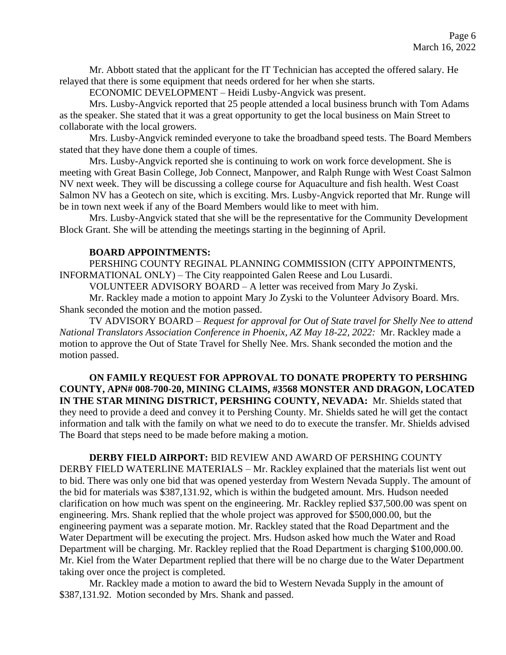Mr. Abbott stated that the applicant for the IT Technician has accepted the offered salary. He relayed that there is some equipment that needs ordered for her when she starts.

ECONOMIC DEVELOPMENT – Heidi Lusby-Angvick was present.

Mrs. Lusby-Angvick reported that 25 people attended a local business brunch with Tom Adams as the speaker. She stated that it was a great opportunity to get the local business on Main Street to collaborate with the local growers.

Mrs. Lusby-Angvick reminded everyone to take the broadband speed tests. The Board Members stated that they have done them a couple of times.

Mrs. Lusby-Angvick reported she is continuing to work on work force development. She is meeting with Great Basin College, Job Connect, Manpower, and Ralph Runge with West Coast Salmon NV next week. They will be discussing a college course for Aquaculture and fish health. West Coast Salmon NV has a Geotech on site, which is exciting. Mrs. Lusby-Angvick reported that Mr. Runge will be in town next week if any of the Board Members would like to meet with him.

Mrs. Lusby-Angvick stated that she will be the representative for the Community Development Block Grant. She will be attending the meetings starting in the beginning of April.

## **BOARD APPOINTMENTS:**

PERSHING COUNTY REGINAL PLANNING COMMISSION (CITY APPOINTMENTS, INFORMATIONAL ONLY) – The City reappointed Galen Reese and Lou Lusardi.

VOLUNTEER ADVISORY BOARD – A letter was received from Mary Jo Zyski.

Mr. Rackley made a motion to appoint Mary Jo Zyski to the Volunteer Advisory Board. Mrs. Shank seconded the motion and the motion passed.

TV ADVISORY BOARD – *Request for approval for Out of State travel for Shelly Nee to attend National Translators Association Conference in Phoenix, AZ May 18-22, 2022:* Mr. Rackley made a motion to approve the Out of State Travel for Shelly Nee. Mrs. Shank seconded the motion and the motion passed.

**ON FAMILY REQUEST FOR APPROVAL TO DONATE PROPERTY TO PERSHING COUNTY, APN# 008-700-20, MINING CLAIMS, #3568 MONSTER AND DRAGON, LOCATED IN THE STAR MINING DISTRICT, PERSHING COUNTY, NEVADA:** Mr. Shields stated that they need to provide a deed and convey it to Pershing County. Mr. Shields sated he will get the contact information and talk with the family on what we need to do to execute the transfer. Mr. Shields advised The Board that steps need to be made before making a motion.

### **DERBY FIELD AIRPORT:** BID REVIEW AND AWARD OF PERSHING COUNTY

DERBY FIELD WATERLINE MATERIALS – Mr. Rackley explained that the materials list went out to bid. There was only one bid that was opened yesterday from Western Nevada Supply. The amount of the bid for materials was \$387,131.92, which is within the budgeted amount. Mrs. Hudson needed clarification on how much was spent on the engineering. Mr. Rackley replied \$37,500.00 was spent on engineering. Mrs. Shank replied that the whole project was approved for \$500,000.00, but the engineering payment was a separate motion. Mr. Rackley stated that the Road Department and the Water Department will be executing the project. Mrs. Hudson asked how much the Water and Road Department will be charging. Mr. Rackley replied that the Road Department is charging \$100,000.00. Mr. Kiel from the Water Department replied that there will be no charge due to the Water Department taking over once the project is completed.

Mr. Rackley made a motion to award the bid to Western Nevada Supply in the amount of \$387,131.92. Motion seconded by Mrs. Shank and passed.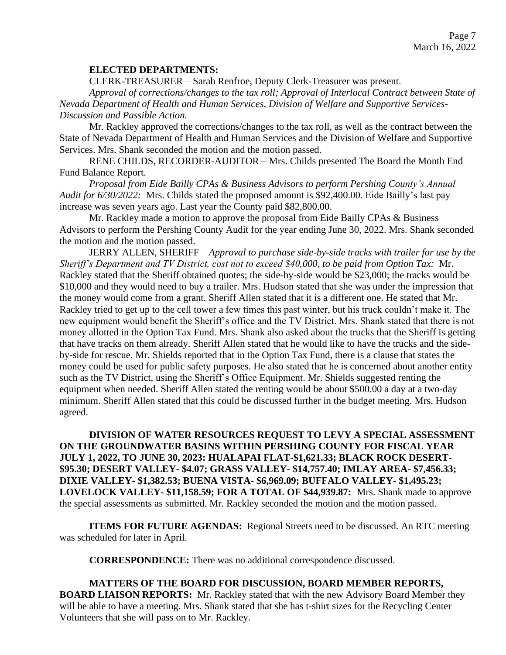### **ELECTED DEPARTMENTS:**

CLERK-TREASURER – Sarah Renfroe, Deputy Clerk-Treasurer was present.

*Approval of corrections/changes to the tax roll; Approval of Interlocal Contract between State of Nevada Department of Health and Human Services, Division of Welfare and Supportive Services-Discussion and Passible Action.* 

Mr. Rackley approved the corrections/changes to the tax roll, as well as the contract between the State of Nevada Department of Health and Human Services and the Division of Welfare and Supportive Services. Mrs. Shank seconded the motion and the motion passed.

RENE CHILDS, RECORDER-AUDITOR – Mrs. Childs presented The Board the Month End Fund Balance Report.

*Proposal from Eide Bailly CPAs & Business Advisors to perform Pershing County's Annual Audit for 6/30/2022:* Mrs. Childs stated the proposed amount is \$92,400.00. Eide Bailly's last pay increase was seven years ago. Last year the County paid \$82,800.00.

Mr. Rackley made a motion to approve the proposal from Eide Bailly CPAs & Business Advisors to perform the Pershing County Audit for the year ending June 30, 2022. Mrs. Shank seconded the motion and the motion passed.

JERRY ALLEN, SHERIFF – *Approval to purchase side-by-side tracks with trailer for use by the Sheriff's Department and TV District, cost not to exceed \$40,000, to be paid from Option Tax:* Mr. Rackley stated that the Sheriff obtained quotes; the side-by-side would be \$23,000; the tracks would be \$10,000 and they would need to buy a trailer. Mrs. Hudson stated that she was under the impression that the money would come from a grant. Sheriff Allen stated that it is a different one. He stated that Mr. Rackley tried to get up to the cell tower a few times this past winter, but his truck couldn't make it. The new equipment would benefit the Sheriff's office and the TV District. Mrs. Shank stated that there is not money allotted in the Option Tax Fund. Mrs. Shank also asked about the trucks that the Sheriff is getting that have tracks on them already. Sheriff Allen stated that he would like to have the trucks and the sideby-side for rescue. Mr. Shields reported that in the Option Tax Fund, there is a clause that states the money could be used for public safety purposes. He also stated that he is concerned about another entity such as the TV District, using the Sheriff's Office Equipment. Mr. Shields suggested renting the equipment when needed. Sheriff Allen stated the renting would be about \$500.00 a day at a two-day minimum. Sheriff Allen stated that this could be discussed further in the budget meeting. Mrs. Hudson agreed.

**DIVISION OF WATER RESOURCES REQUEST TO LEVY A SPECIAL ASSESSMENT ON THE GROUNDWATER BASINS WITHIN PERSHING COUNTY FOR FISCAL YEAR JULY 1, 2022, TO JUNE 30, 2023: HUALAPAI FLAT-\$1,621.33; BLACK ROCK DESERT- \$95.30; DESERT VALLEY- \$4.07; GRASS VALLEY- \$14,757.40; IMLAY AREA- \$7,456.33; DIXIE VALLEY- \$1,382.53; BUENA VISTA- \$6,969.09; BUFFALO VALLEY- \$1,495.23; LOVELOCK VALLEY- \$11,158.59; FOR A TOTAL OF \$44,939.87:** Mrs. Shank made to approve the special assessments as submitted. Mr. Rackley seconded the motion and the motion passed.

**ITEMS FOR FUTURE AGENDAS:** Regional Streets need to be discussed. An RTC meeting was scheduled for later in April.

**CORRESPONDENCE:** There was no additional correspondence discussed.

**MATTERS OF THE BOARD FOR DISCUSSION, BOARD MEMBER REPORTS, BOARD LIAISON REPORTS:** Mr. Rackley stated that with the new Advisory Board Member they will be able to have a meeting. Mrs. Shank stated that she has t-shirt sizes for the Recycling Center Volunteers that she will pass on to Mr. Rackley.